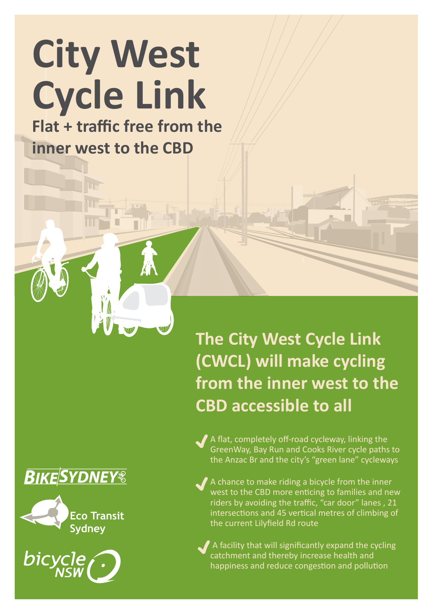# **City West Cycle Link**

**Flat + traffic free from the inner west to the CBD**

> **(CWCL) will make cycling from the inner west to the CBD accessible to all**

**The City West Cycle Link** 

A flat, completely off-road cycleway, linking the GreenWay, Bay Run and Cooks River cycle paths to the Anzac Br and the city's "green lane" cycleways

A chance to make riding a bicycle from the inner west to the CBD more enticing to families and new riders by avoiding the traffic, "car door" lanes , 21 intersections and 45 vertical metres of climbing of the current Lilyfield Rd route

 A facility that will significantly expand the cycling catchment and thereby increase health and happiness and reduce congestion and pollution